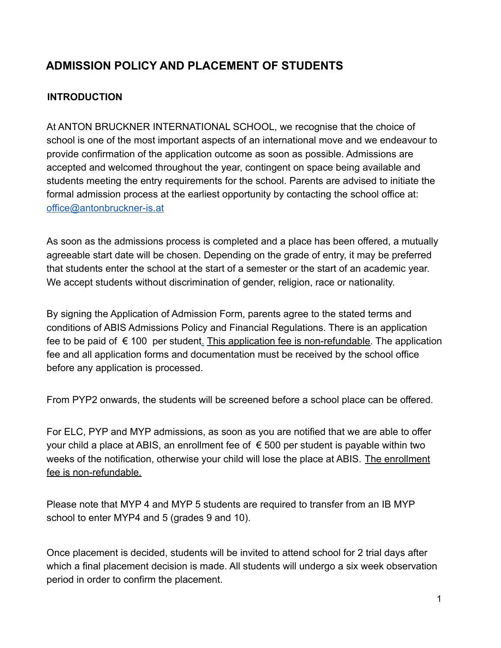# **ADMISSION POLICY AND PLACEMENT OF STUDENTS**

### **INTRODUCTION**

At ANTON BRUCKNER INTERNATIONAL SCHOOL, we recognise that the choice of school is one of the most important aspects of an international move and we endeavour to provide confirmation of the application outcome as soon as possible. Admissions are accepted and welcomed throughout the year, contingent on space being available and students meeting the entry requirements for the school. Parents are advised to initiate the formal admission process at the earliest opportunity by contacting the school office at: [office@antonbruckner-is.at](mailto:office@antonbruckner-is.at)

As soon as the admissions process is completed and a place has been offered, a mutually agreeable start date will be chosen. Depending on the grade of entry, it may be preferred that students enter the school at the start of a semester or the start of an academic year. We accept students without discrimination of gender, religion, race or nationality.

By signing the Application of Admission Form, parents agree to the stated terms and conditions of ABIS Admissions Policy and Financial Regulations. There is an application fee to be paid of  $\epsilon$  100 per studen[t.](http://www.antonbruckner-is.at/1/index.php/en/admissions/academic-fees) This application fee is non-refundable. The application fee and all application forms and documentation must be received by the school office before any application is processed.

From PYP2 onwards, the students will be screened before a school place can be offered.

For ELC, PYP and MYP admissions, as soon as you are notified that we are able to offer your child a place at ABIS, an enrollment fee of  $\epsilon$  500 per student is payable within two weeks of the notification, otherwise your child will lose the place at ABIS. The enrollment fee is non-refundable.

Please note that MYP 4 and MYP 5 students are required to transfer from an IB MYP school to enter MYP4 and 5 (grades 9 and 10).

Once placement is decided, students will be invited to attend school for 2 trial days after which a final placement decision is made. All students will undergo a six week observation period in order to confirm the placement.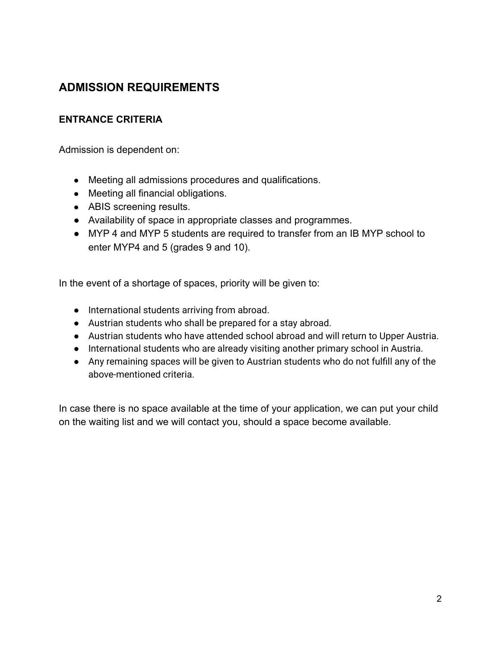# **ADMISSION REQUIREMENTS**

#### **ENTRANCE CRITERIA**

Admission is dependent on:

- Meeting all admissions procedures and qualifications.
- Meeting all financial obligations.
- ABIS screening results.
- Availability of space in appropriate classes and programmes.
- MYP 4 and MYP 5 students are required to transfer from an IB MYP school to enter MYP4 and 5 (grades 9 and 10).

In the event of a shortage of spaces, priority will be given to:

- International students arriving from abroad.
- Austrian students who shall be prepared for a stay abroad.
- Austrian students who have attended school abroad and will return to Upper Austria.
- International students who are already visiting another primary school in Austria.
- Any remaining spaces will be given to Austrian students who do not fulfill any of the above-mentioned criteria.

In case there is no space available at the time of your application, we can put your child on the waiting list and we will contact you, should a space become available.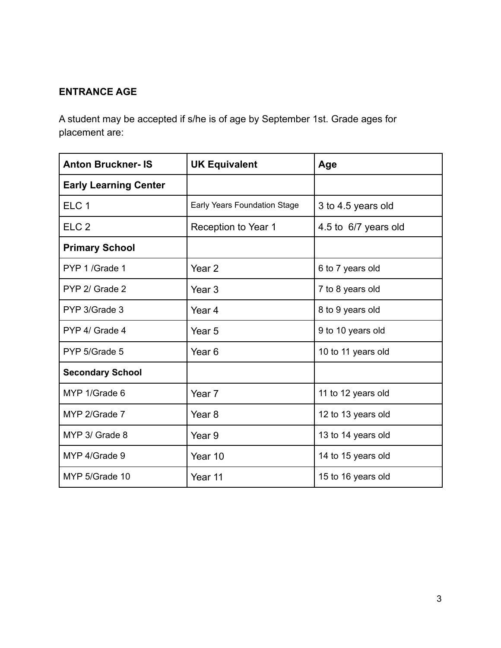### **ENTRANCE AGE**

A student may be accepted if s/he is of age by September 1st. Grade ages for placement are:

| <b>Anton Bruckner-IS</b>     | <b>UK Equivalent</b>         | Age                  |
|------------------------------|------------------------------|----------------------|
| <b>Early Learning Center</b> |                              |                      |
| ELC <sub>1</sub>             | Early Years Foundation Stage | 3 to 4.5 years old   |
| ELC <sub>2</sub>             | Reception to Year 1          | 4.5 to 6/7 years old |
| <b>Primary School</b>        |                              |                      |
| PYP 1 /Grade 1               | Year <sub>2</sub>            | 6 to 7 years old     |
| PYP 2/ Grade 2               | Year <sub>3</sub>            | 7 to 8 years old     |
| PYP 3/Grade 3                | Year 4                       | 8 to 9 years old     |
| PYP 4/ Grade 4               | Year <sub>5</sub>            | 9 to 10 years old    |
| PYP 5/Grade 5                | Year <sub>6</sub>            | 10 to 11 years old   |
| <b>Secondary School</b>      |                              |                      |
| MYP 1/Grade 6                | Year <sub>7</sub>            | 11 to 12 years old   |
| MYP 2/Grade 7                | Year <sub>8</sub>            | 12 to 13 years old   |
| MYP 3/ Grade 8               | Year 9                       | 13 to 14 years old   |
| MYP 4/Grade 9                | Year 10                      | 14 to 15 years old   |
| MYP 5/Grade 10               | Year 11                      | 15 to 16 years old   |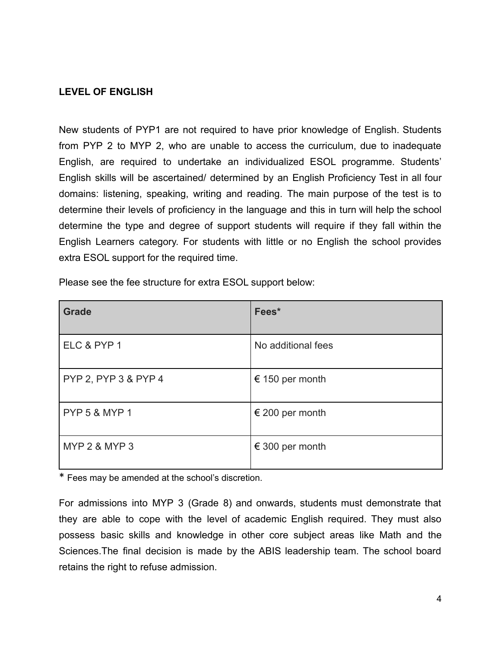#### **LEVEL OF ENGLISH**

New students of PYP1 are not required to have prior knowledge of English. Students from PYP 2 to MYP 2, who are unable to access the curriculum, due to inadequate English, are required to undertake an individualized ESOL programme. Students' English skills will be ascertained/ determined by an English Proficiency Test in all four domains: listening, speaking, writing and reading. The main purpose of the test is to determine their levels of proficiency in the language and this in turn will help the school determine the type and degree of support students will require if they fall within the English Learners category. For students with little or no English the school provides extra ESOL support for the required time.

| <b>Grade</b>             | Fees*              |
|--------------------------|--------------------|
| ELC & PYP 1              | No additional fees |
| PYP 2, PYP 3 & PYP 4     | € 150 per month    |
| <b>PYP 5 &amp; MYP 1</b> | € 200 per month    |
| <b>MYP 2 &amp; MYP 3</b> | € 300 per month    |

Please see the fee structure for extra ESOL support below:

\* Fees may be amended at the school's discretion.

For admissions into MYP 3 (Grade 8) and onwards, students must demonstrate that they are able to cope with the level of academic English required. They must also possess basic skills and knowledge in other core subject areas like Math and the Sciences.The final decision is made by the ABIS leadership team. The school board retains the right to refuse admission.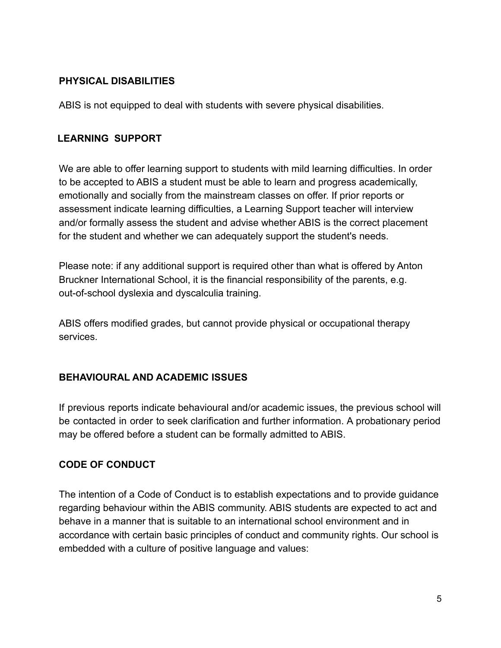#### **PHYSICAL DISABILITIES**

ABIS is not equipped to deal with students with severe physical disabilities.

### **LEARNING SUPPORT**

We are able to offer learning support to students with mild learning difficulties. In order to be accepted to ABIS a student must be able to learn and progress academically, emotionally and socially from the mainstream classes on offer. If prior reports or assessment indicate learning difficulties, a Learning Support teacher will interview and/or formally assess the student and advise whether ABIS is the correct placement for the student and whether we can adequately support the student's needs.

Please note: if any additional support is required other than what is offered by Anton Bruckner International School, it is the financial responsibility of the parents, e.g. out-of-school dyslexia and dyscalculia training.

ABIS offers modified grades, but cannot provide physical or occupational therapy services.

#### **BEHAVIOURAL AND ACADEMIC ISSUES**

If previous reports indicate behavioural and/or academic issues, the previous school will be contacted in order to seek clarification and further information. A probationary period may be offered before a student can be formally admitted to ABIS.

## **CODE OF CONDUCT**

The intention of a Code of Conduct is to establish expectations and to provide guidance regarding behaviour within the ABIS community. ABIS students are expected to act and behave in a manner that is suitable to an international school environment and in accordance with certain basic principles of conduct and community rights. Our school is embedded with a culture of positive language and values: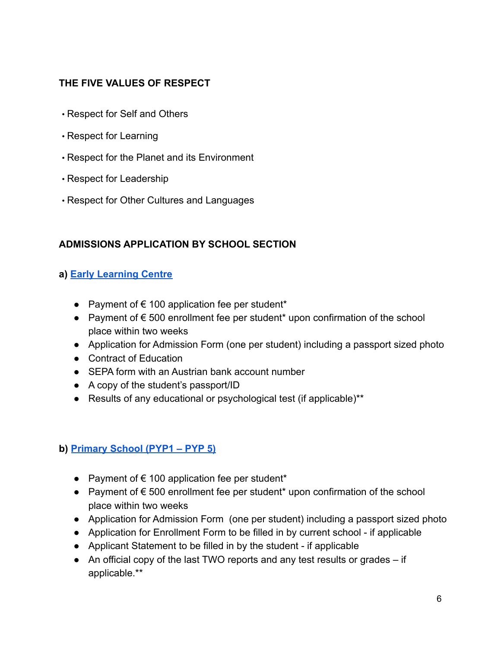#### **THE FIVE VALUES OF RESPECT**

- Respect for Self and Others
- Respect for Learning
- Respect for the Planet and its Environment
- Respect for Leadership
- Respect for Other Cultures and Languages

### **ADMISSIONS APPLICATION BY SCHOOL SECTION**

#### **a) [Early Learning Centre](http://www.antonbruckner-is.at/1/index.php/en/learning/early-learning-center-4-5-to-6-years/what-is-the-elc)**

- Payment of  $\epsilon$  100 application fee per student\*
- Payment of € 500 enrollment fee per student\* upon confirmation of the school place within two weeks
- Application for Admission Form (one per student) including a passport sized photo
- Contract of Education
- SEPA form with an Austrian bank account number
- A copy of the student's passport/ID
- Results of any educational or psychological test (if applicable)<sup>\*\*</sup>

## **b) [Primary School \(PYP1 – PYP 5\)](http://www.antonbruckner-is.at/1/index.php/en/learning/primary-years-programme-3-to-12-years/what-is-the-pyp)**

- Payment of  $\epsilon$  100 application fee per student\*
- Payment of € 500 enrollment fee per student\* upon confirmation of the school place within two weeks
- Application for Admission Form (one per student) including a passport sized photo
- Application for Enrollment Form to be filled in by current school if applicable
- Applicant Statement to be filled in by the student if applicable
- An official copy of the last TWO reports and any test results or grades if applicable.\*\*